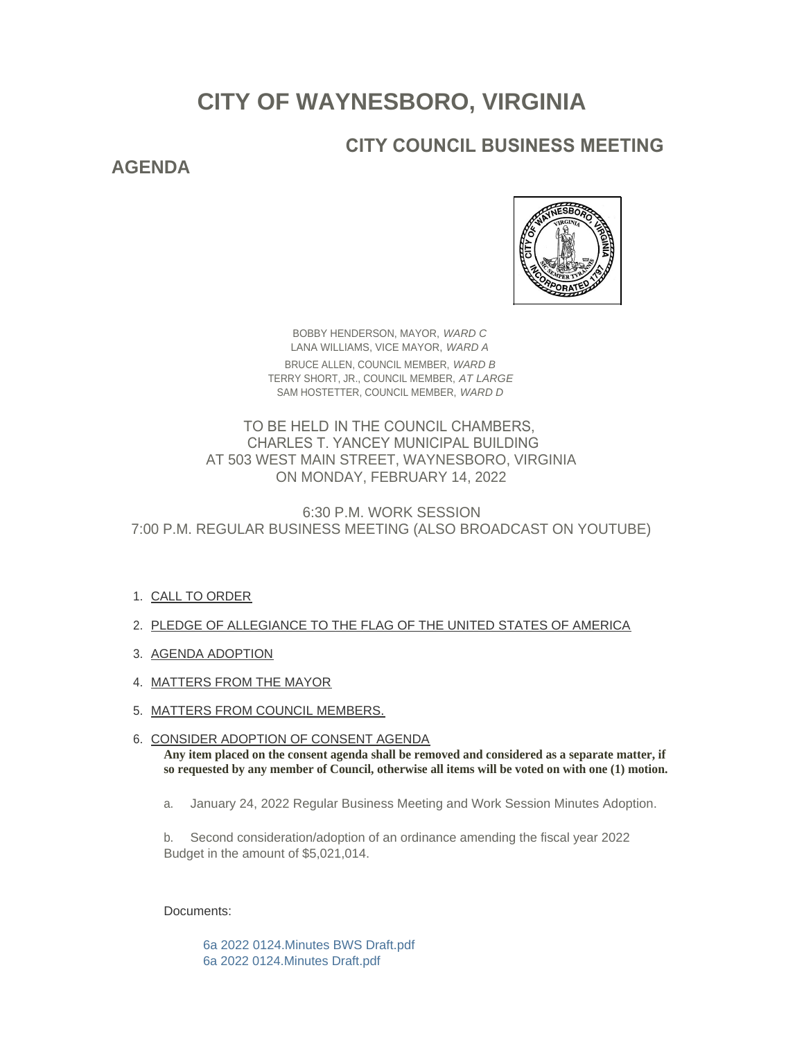# **CITY OF WAYNESBORO, VIRGINIA**

## **CITY COUNCIL BUSINESS MEETING**

### **AGENDA**



BOBBY HENDERSON, MAYOR, *WARD C* LANA WILLIAMS, VICE MAYOR, *WARD A* BRUCE ALLEN, COUNCIL MEMBER, *WARD B* TERRY SHORT, JR., COUNCIL MEMBER, *AT LARGE* SAM HOSTETTER, COUNCIL MEMBER, *WARD D*

TO BE HELD IN THE COUNCIL CHAMBERS, CHARLES T. YANCEY MUNICIPAL BUILDING AT 503 WEST MAIN STREET, WAYNESBORO, VIRGINIA ON MONDAY, FEBRUARY 14, 2022

6:30 P.M. WORK SESSION 7:00 P.M. REGULAR BUSINESS MEETING (ALSO BROADCAST ON YOUTUBE)

- 1. <u>CALL TO ORDER</u>
- 2. PLEDGE OF ALLEGIANCE TO THE FLAG OF THE UNITED STATES OF AMERICA
- 3. AGENDA ADOPTION
- 4. MATTERS FROM THE MAYOR
- 5. <u>MATTERS FROM COUNCIL MEMBERS.</u>

6. CONSIDER ADOPTION OF CONSENT AGENDA **Any item placed on the consent agenda shall be removed and considered as a separate matter, if so requested by any member of Council, otherwise all items will be voted on with one (1) motion.**

a. January 24, 2022 Regular Business Meeting and Work Session Minutes Adoption.

b. Second consideration/adoption of an ordinance amending the fiscal year 2022 Budget in the amount of \$5,021,014.

#### Documents:

[6a 2022 0124.Minutes BWS Draft.pdf](https://www.waynesboro.va.us/AgendaCenter/ViewFile/Item/4581?fileID=43720) [6a 2022 0124.Minutes Draft.pdf](https://www.waynesboro.va.us/AgendaCenter/ViewFile/Item/4581?fileID=43721)